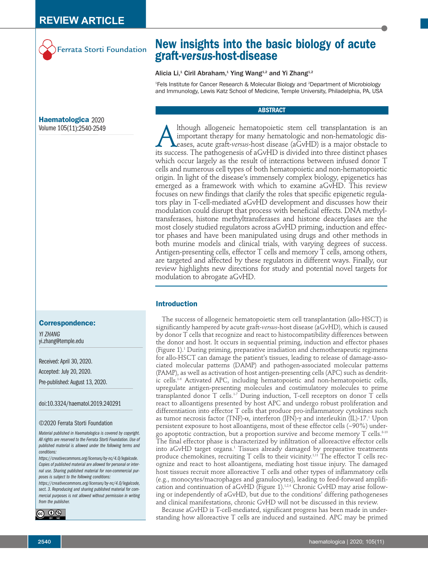

# **New insights into the basic biology of acute graft-***versus-***host-disease**

## Alicia Li,<sup>1</sup> Ciril Abraham,<sup>1</sup> Ying Wang<sup>1,2</sup> and Yi Zhang<sup>1,2</sup>

1 Fels Institute for Cancer Research & Molecular Biology and 2 Department of Microbiology and Immunology, Lewis Katz School of Medicine, Temple University, Philadelphia, PA, USA

# **ABSTRACT**

Although allogeneic hematopoietic stem cell transplantation is an important therapy for many hematologic and non-hematologic dis-<br>diseases, acute graft-versus-host disease (aGvHD) is a major obstacle to<br>its success. The pa important therapy for many hematologic and non-hematologic diseases, acute graft-*versus*-host disease (aGvHD) is a major obstacle to its success. The pathogenesis of aGvHD is divided into three distinct phases which occur largely as the result of interactions between infused donor T cells and numerous cell types of both hematopoietic and non-hematopoietic origin. In light of the disease's immensely complex biology, epigenetics has emerged as a framework with which to examine aGvHD. This review focuses on new findings that clarify the roles that specific epigenetic regulators play in T-cell-mediated aGvHD development and discusses how their modulation could disrupt that process with beneficial effects. DNA methyltransferases, histone methyltransferases and histone deacetylases are the most closely studied regulators across aGvHD priming, induction and effector phases and have been manipulated using drugs and other methods in both murine models and clinical trials, with varying degrees of success. Antigen-presenting cells, effector T cells and memory T cells, among others, are targeted and affected by these regulators in different ways. Finally, our review highlights new directions for study and potential novel targets for modulation to abrogate aGvHD.

# **Introduction**

The success of allogeneic hematopoietic stem cell transplantation (allo-HSCT) is significantly hampered by acute graft-*versus*-host disease (aGvHD), which is caused by donor T cells that recognize and react to histocompatibility differences between the donor and host. It occurs in sequential priming, induction and effector phases (Figure 1).1 During priming, preparative irradiation and chemotherapeutic regimens for allo-HSCT can damage the patient's tissues, leading to release of damage-associated molecular patterns (DAMP) and pathogen-associated molecular patterns (PAMP), as well as activation of host antigen-presenting cells (APC) such as dendritic cells.<sup>1-6</sup> Activated APC, including hematopoietic and non-hematopoietic cells, upregulate antigen-presenting molecules and costimulatory molecules to prime transplanted donor T cells.1-7 During induction, T-cell receptors on donor T cells react to alloantigens presented by host APC and undergo robust proliferation and differentiation into effector T cells that produce pro-inflammatory cytokines such as tumor necrosis factor (TNF)-a, interferon (IFN)-γ and interleukin (IL)-17.1 Upon persistent exposure to host alloantigens, most of these effector cells (~90%) undergo apoptotic contraction, but a proportion survive and become memory  $T$  cells.<sup>8-10</sup> The final effector phase is characterized by infiltration of alloreactive effector cells into aGvHD target organs.<sup>1</sup> Tissues already damaged by preparative treatments produce chemokines, recruiting  $T$  cells to their vicinity.<sup>1,11</sup> The effector  $T$  cells recognize and react to host alloantigens, mediating host tissue injury. The damaged host tissues recruit more alloreactive T cells and other types of inflammatory cells (e.g., monocytes/macrophages and granulocytes), leading to feed-forward amplification and continuation of aGvHD (Figure 1).<sup>1,2,4</sup> Chronic GvHD may arise following or independently of aGvHD, but due to the conditions' differing pathogeneses and clinical manifestations, chronic GvHD will not be discussed in this review.

Because aGvHD is T-cell-mediated, significant progress has been made in understanding how alloreactive T cells are induced and sustained. APC may be primed

**Haematologica** 2020 Volume 105(11):2540-2549

#### **Correspondence:**

*YI ZHANG* yi.zhang@temple.edu

Received: April 30, 2020. Accepted: July 20, 2020. Pre-published: August 13, 2020.

doi:10.3324/haematol.2019.240291

#### ©2020 Ferrata Storti Foundation

*Material published in Haematologica is covered by copyright. All rights are reserved to the Ferrata Storti Foundation. Use of published material is allowed under the following terms and conditions:* 

*https://creativecommons.org/licenses/by-nc/4.0/legalcode. Copies of published material are allowed for personal or internal use. Sharing published material for non-commercial purposes is subject to the following conditions:* 

*https://creativecommons.org/licenses/by-nc/4.0/legalcode, sect. 3. Reproducing and sharing published material for commercial purposes is not allowed without permission in writing from the publisher.*

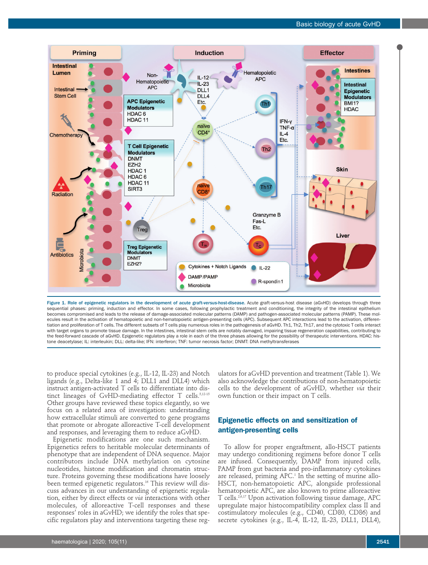

Figure 1. Role of epigenetic regulators in the development of acute graft-*versus*-host-disease. Acute graft-versus-host disease (aGvHD) develops through three sequential phases: priming, induction and effector. In some cases, following prophylactic treatment and conditioning, the integrity of the intestinal epithelium becomes compromised and leads to the release of damage-associated molecular patterns (DAMP) and pathogen-associated molecular patterns (PAMP). These molecules result in the activation of hematopoietic and non-hematopoietic antigen-presenting cells (APC). Subsequent APC interactions lead to the activation, differentiation and proliferation of T cells. The different subsets of T cells play numerous roles in the pathogenesis of aGvHD. Th1, Th2, Th17, and the cytotoxic T cells interact with target organs to promote tissue damage. In the intestines, intestinal stem cells are notably damaged, impairing tissue regeneration capabilities, contributing to the feed-forward cascade of aGvHD. Epigenetic regulators play a role in each of the three phases allowing for the possibility of therapeutic interventions. HDAC: histone deacetylase; IL: interleukin; DLL: delta-like; IFN: interferon; TNF: tumor necrosis factor; DNMT: DNA methyltransferases

to produce special cytokines (e.g., IL-12, IL-23) and Notch ligands (e.g., Delta-like 1 and  $\overline{4}$ ; DLL1 and DLL4) which instruct antigen-activated T cells to differentiate into distinct lineages of GvHD-mediating effector T cells.<sup>5,12-15</sup> Other groups have reviewed these topics elegantly, so we focus on a related area of investigation: understanding how extracellular stimuli are converted to gene programs that promote or abrogate alloreactive T-cell development and responses, and leveraging them to reduce aGvHD.

Epigenetic modifications are one such mechanism. Epigenetics refers to heritable molecular determinants of phenotype that are independent of DNA sequence. Major contributors include DNA methylation on cytosine nucleotides, histone modification and chromatin structure. Proteins governing these modifications have loosely been termed epigenetic regulators.<sup>16</sup> This review will discuss advances in our understanding of epigenetic regulation, either by direct effects or *via* interactions with other molecules, of alloreactive T-cell responses and these responses' roles in aGvHD; we identify the roles that specific regulators play and interventions targeting these reg-

ulators for aGvHD prevention and treatment (Table 1). We also acknowledge the contributions of non-hematopoietic cells to the development of aGvHD, whether *via* their own function or their impact on T cells.

# **Epigenetic effects on and sensitization of antigen-presenting cells**

To allow for proper engraftment, allo-HSCT patients may undergo conditioning regimens before donor T cells are infused. Consequently, DAMP from injured cells, PAMP from gut bacteria and pro-inflammatory cytokines are released, priming  $APC<sup>1</sup>$  In the setting of murine allo-HSCT, non-hematopoietic APC, alongside professional hematopoietic APC, are also known to prime alloreactive T cells.2,6,17 Upon activation following tissue damage, APC upregulate major histocompatibility complex class II and costimulatory molecules (e.g., CD40, CD80, CD86) and secrete cytokines (e.g., IL-4, IL-12, IL-23, DLL1, DLL4),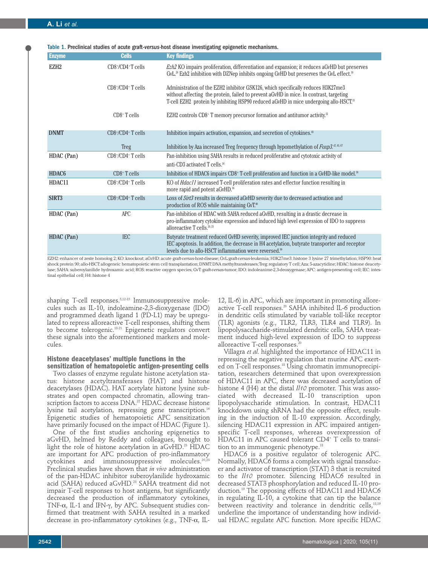| <b>Enzyme</b>     | <b>Cells</b>                    | <b>Key findings</b>                                                                                                                                                                                                                                                 |
|-------------------|---------------------------------|---------------------------------------------------------------------------------------------------------------------------------------------------------------------------------------------------------------------------------------------------------------------|
| EZH <sub>2</sub>  | $CD8+/CD4+T$ cells              | <i>Ezh2</i> KO impairs proliferation, differentiation and expansion; it reduces aGvHD but preserves<br>GvL. <sup>28</sup> Ezh2 inhibition with DZNep inhibits ongoing GvHD but preserves the GvL effect. <sup>30</sup>                                              |
|                   | $CD8*/CD4$ <sup>+</sup> T cells | Administration of the EZH2 inhibitor GSK126, which specifically reduces H3K27me3<br>without affecting the protein, failed to prevent aGvHD in mice. In contrast, targeting<br>T-cell EZH2 protein by inhibiting HSP90 reduced aGvHD in mice undergoing allo-HSCT.33 |
|                   | $CD8+$ T cells                  | EZH2 controls CD8+ T memory precursor formation and antitumor activity. <sup>32</sup>                                                                                                                                                                               |
| <b>DNMT</b>       | $CD8+/CD4+T$ cells              | Inhibition impairs activation, expansion, and secretion of cytokines. <sup>43</sup>                                                                                                                                                                                 |
|                   | Treg                            | Inhibition by Aza increased Treg frequency through hypomethylation of $F\alpha x p3.^{a, a, \sigma}$                                                                                                                                                                |
| HDAC (Pan)        | $CD8*/CD4$ <sup>+</sup> T cells | Pan-inhibition using SAHA results in reduced proliferative and cytotoxic activity of<br>anti-CD3 activated T cells. <sup>34</sup>                                                                                                                                   |
| HDAC <sub>6</sub> | $CD8+$ T cells                  | Inhibition of HDAC6 impairs CD8+ T-cell proliferation and function in a GvHD-like model. <sup>38</sup>                                                                                                                                                              |
| HDAC11            | $CD8*/CD4$ <sup>+</sup> T cells | KO of <i>Hdac11</i> increased T-cell proliferation rates and effector function resulting in<br>more rapid and potent aGvHD. <sup>36</sup>                                                                                                                           |
| SIRT3             | $CD8*/CD4$ <sup>+</sup> T cells | Loss of Sirt3 results in decreased aGvHD severity due to decreased activation and<br>production of ROS while maintaining GvT. <sup>40</sup>                                                                                                                         |
| HDAC (Pan)        | <b>APC</b>                      | Pan-inhibition of HDAC with SAHA reduced aGvHD, resulting in a drastic decrease in<br>pro-inflammatory cytokine expression and induced high level expression of IDO to suppress<br>alloreactive $T$ cells. <sup>20, 23</sup>                                        |
| HDAC (Pan)        | <b>IEC</b>                      | Butyrate treatment reduced GvHD severity, improved IEC junction integrity and reduced<br>IEC apoptosis. In addition, the decrease in H4 acetylation, butyrate transporter and receptor<br>levels due to allo-HSCT inflammation were reversed. <sup>90</sup>         |

Table 1. Preclinical studies of acute graft-*versus-*host disease investigating epigenetic mechanisms.

EZH2: enhancer of zeste homolog 2; KO: knockout; aGvHD: acute graft-*versus-*host-disease; GvL:graft*-versus*-leukemia; H3K27me3: histone 3 lysine 27 trimethylation; HSP90: heat shock protein 90; allo-HSCT: allogeneic hematopoietic stem cell transplantation; DNMT: DNA methyltransferases; Treg: regulatory T cell; Aza: 5-azacytidine; HDAC: histone deacetylase; SAHA: suberoylanilide hydroxamic acid; ROS: reactive oxygen species; GvT: graft-*versus*-tumor; IDO: indoleanime-2,3-deoxygenase; APC: antigen-presenting cell; IEC: intestinal epithelial cell; H4: histone 4

shaping T-cell responses.5,12-15 Immunosuppressive molecules such as IL-10, indoleamine-2,3-dioxygenase (IDO) and programmed death ligand 1 (PD-L1) may be upregulated to repress alloreactive T-cell responses, shifting them to become tolerogenic.18-21 Epigenetic regulators convert these signals into the aforementioned markers and molecules.

# **Histone deacetylases' multiple functions in the**

**sensitization of hematopoietic antigen-presenting cells** Two classes of enzyme regulate histone acetylation status: histone acetyltransferases (HAT) and histone deacetylases (HDAC). HAT acetylate histone lysine substrates and open compacted chromatin, allowing transcription factors to access DNA.<sup>22</sup> HDAC decrease histone lysine tail acetylation, repressing gene transcription.<sup>16</sup> Epigenetic studies of hematopoietic APC sensitization have primarily focused on the impact of HDAC (Figure 1).

One of the first studies anchoring epigenetics to aGvHD, helmed by Reddy and colleagues, brought to light the role of histone acetylation in aGvHD.<sup>23</sup> HDAC are important for APC production of pro-inflammatory cytokines and immunosuppressive molecules.20,23 Preclinical studies have shown that *in vivo* administration of the pan-HDAC inhibitor suberoylanilide hydroxamic acid (SAHA) reduced aGvHD.<sup>23</sup> SAHA treatment did not impair T-cell responses to host antigens, but significantly decreased the production of inflammatory cytokines, TNF- $\alpha$ , IL-1 and IFN- $\gamma$ , by APC. Subsequent studies confirmed that treatment with SAHA resulted in a marked decrease in pro-inflammatory cytokines (e.g., TNF- $\alpha$ , IL-

12, IL-6) in APC, which are important in promoting alloreactive T-cell responses.<sup>20</sup> SAHA inhibited IL-6 production in dendritic cells stimulated by variable toll-like receptor (TLR) agonists (e.g., TLR2, TLR3, TLR4 and TLR9). In lipopolysaccharide-stimulated dendritic cells, SAHA treatment induced high-level expression of IDO to suppress alloreactive T-cell responses.<sup>2</sup>

Villagra *et al.* highlighted the importance of HDAC11 in repressing the negative regulation that murine APC exerted on T-cell responses.18 Using chromatin immunoprecipitation, researchers determined that upon overexpression of HDAC11 in APC, there was decreased acetylation of histone 4 (H4) at the distal *Il10* promoter. This was associated with decreased IL-10 transcription upon lipopolysaccharide stimulation. In contrast, HDAC11 knockdown using shRNA had the opposite effect, resulting in the induction of IL-10 expression. Accordingly, silencing HDAC11 expression in APC impaired antigenspecific T-cell responses, whereas overexpression of HDAC11 in APC caused tolerant CD4+ T cells to transition to an immunogenic phenotype.<sup>18</sup>

HDAC6 is a positive regulator of tolerogenic APC. Normally, HDAC6 forms a complex with signal transducer and activator of transcription (STAT) 3 that is recruited to the *Il10* promoter. Silencing HDAC6 resulted in decreased STAT3 phosphorylation and reduced IL-10 production.19 The opposing effects of HDAC11 and HDAC6 in regulating IL-10, a cytokine that can tip the balance between reactivity and tolerance in dendritic cells,<sup>18,19</sup> underline the importance of understanding how individual HDAC regulate APC function. More specific HDAC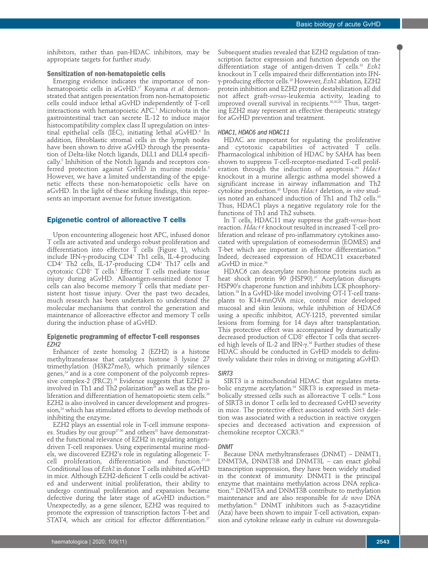inhibitors, rather than pan-HDAC inhibitors, may be appropriate targets for further study.

#### **Sensitization of non-hematopoietic cells**

Emerging evidence indicates the importance of nonhematopoietic cells in aGvHD.17 Koyama *et al.* demonstrated that antigen presentation from non-hematopoietic cells could induce lethal aGvHD independently of T-cell interactions with hematopoietic APC.<sup>2</sup> Microbiota in the gastrointestinal tract can secrete IL-12 to induce major histocompatibility complex class II upregulation on intestinal epithelial cells (IEC), initiating lethal aGvHD.<sup>6</sup> In addition, fibroblastic stromal cells in the lymph nodes have been shown to drive aGvHD through the presentation of Delta-like Notch ligands, DLL1 and DLL4 specifically.5 Inhibition of the Notch ligands and receptors conferred protection against GvHD in murine models.<sup>5</sup> However, we have a limited understanding of the epigenetic effects these non-hematopoietic cells have on aGvHD. In the light of these striking findings, this represents an important avenue for future investigation.

# **Epigenetic control of alloreactive T cells**

Upon encountering allogeneic host APC, infused donor T cells are activated and undergo robust proliferation and differentiation into effector  $T$  cells (Figure 1), which include IFN-γ-producing CD4+ Th1 cells, IL-4-producing CD4+ Th2 cells, IL-17-producing CD4+ Th17 cells and cytotoxic CD8<sup>+</sup> T cells.<sup>1</sup> Effector T cells mediate tissue injury during aGvHD. Alloantigen-sensitized donor T cells can also become memory T cells that mediate persistent host tissue injury. Over the past two decades, much research has been undertaken to understand the molecular mechanisms that control the generation and maintenance of alloreactive effector and memory T cells during the induction phase of aGvHD.

# **Epigenetic programming of effector T-cell responses**  *EZH2*

Enhancer of zeste homolog 2 (EZH2) is a histone methyltransferase that catalyzes histone 3 lysine 27 trimethylation (H3K27me3), which primarily silences genes, $^{24}$  and is a core component of the polycomb repressive complex-2 (PRC2).<sup>24</sup> Evidence suggests that EZH2 is involved in Th1 and Th2 polarization $^{25}$  as well as the proliferation and differentiation of hematopoietic stem cells.<sup>26</sup> EZH2 is also involved in cancer development and progression,<sup>24</sup> which has stimulated efforts to develop methods of inhibiting the enzyme.

EZH2 plays an essential role in T-cell immune responses. Studies by our group<sup>27-30</sup> and others<sup>31</sup> have demonstrated the functional relevance of EZH2 in regulating antigendriven T-cell responses. Using experimental murine models, we discovered EZH2's role in regulating allogeneic Tcell proliferation, differentiation and function.27,28 Conditional loss of *Ezh2* in donor T cells inhibited aGvHD in mice. Although EZH2-deficient T cells could be activated and underwent initial proliferation, their ability to undergo continual proliferation and expansion became defective during the later stage of aGvHD induction.<sup>28</sup> Unexpectedly, as a gene silencer, EZH2 was required to promote the expression of transcription factors T-bet and STAT4, which are critical for effector differentiation.<sup>27</sup>

scription factor expression and function depends on the differentiation stage of antigen-driven T cells.32 *Ezh2* knockout in T cells impaired their differentiation into IFNγ-producing effector cells.28 However, *Ezh2* ablation, EZH2 protein inhibition and EZH2 protein destabilization all did not affect graft-*versus*-leukemia activity, leading to improved overall survival in recipients. $^{28,30,33}$  Thus, targeting EZH2 may represent an effective therapeutic strategy for aGvHD prevention and treatment.

Subsequent studies revealed that EZH2 regulation of tran-

# *HDAC1, HDAC6 and HDAC11*

HDAC are important for regulating the proliferative and cytotoxic capabilities of activated T cells. Pharmacological inhibition of HDAC by SAHA has been shown to suppress T-cell-receptor-mediated T-cell proliferation through the induction of apoptosis.34 *Hdac1* knockout in a murine allergic asthma model showed a significant increase in airway inflammation and Th2 cytokine production.35 Upon *Hdac1* deletion, *in vitro* studies noted an enhanced induction of Th1 and Th2 cells.<sup>35</sup> Thus, HDAC1 plays a negative regulatory role for the functions of Th1 and Th2 subsets.

In T cells, HDAC11 may suppress the graft-*versus*-host reaction. *Hdac11* knockout resulted in increased T-cell proliferation and release of pro-inflammatory cytokines associated with upregulation of eomesodermin (EOMES) and T-bet which are important in effector differentiation.<sup>36</sup> Indeed, decreased expression of HDAC11 exacerbated aGvHD in mice.<sup>36</sup>

HDAC6 can deacetylate non-histone proteins such as heat shock protein 90 (HSP90).<sup>37</sup> Acetylation disrupts HSP90's chaperone function and inhibits LCK phosphorylation.<sup>38</sup> In a GvHD-like model involving OT-I T-cell transplants to K14-mnOVA mice, control mice developed mucosal and skin lesions, while inhibition of HDAC6 using a specific inhibitor, ACY-1215, prevented similar lesions from forming for 14 days after transplantation. This protective effect was accompanied by dramatically decreased production of CD8<sup>+</sup> effector T cells that secreted high levels of IL-2 and IFN-γ. <sup>38</sup> Further studies of these HDAC should be conducted in GvHD models to definitively validate their roles in driving or mitigating aGvHD.

#### *SIRT3*

SIRT3 is a mitochondrial HDAC that regulates metabolic enzyme acetylation.<sup>39</sup> SIRT3 is expressed in metabolically stressed cells such as alloreactive  $T$  cells.<sup>40</sup> Loss of SIRT3 in donor T cells led to decreased GvHD severity in mice. The protective effect associated with *Sirt3* deletion was associated with a reduction in reactive oxygen species and decreased activation and expression of chemokine receptor CXCR3.40

# *DNMT*

Because DNA methyltransferases (DNMT) – DNMT1, DNMT3A, DNMT3B and DNMT3L – can enact global transcription suppression, they have been widely studied in the context of immunity. DNMT1 is the principal enzyme that maintains methylation across DNA replication.41 DNMT3A and DNMT3B contribute to methylation maintenance and are also responsible for *de novo* DNA methylation.41 DNMT inhibitors such as 5-azacytidine (Aza) have been shown to impair T-cell activation, expansion and cytokine release early in culture *via* downregula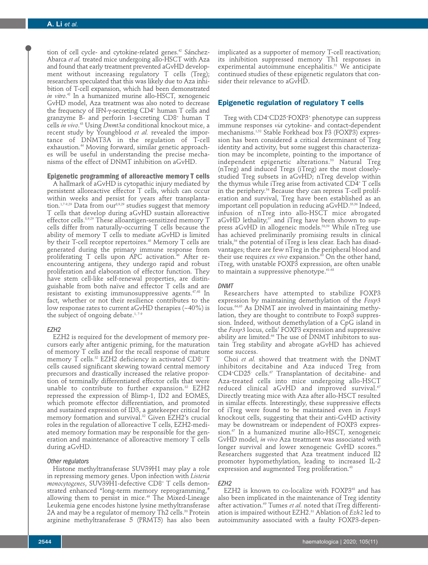tion of cell cycle- and cytokine-related genes.<sup>42</sup> Sánchez-Abarca *et al.* treated mice undergoing allo-HSCT with Aza and found that early treatment prevented aGvHD development without increasing regulatory T cells (Treg); researchers speculated that this was likely due to Aza inhibition of T-cell expansion, which had been demonstrated *in vitro*. <sup>42</sup> In a humanized murine allo-HSCT, xenogeneic GvHD model, Aza treatment was also noted to decrease the frequency of IFN-γ-secreting CD4+ human T cells and granzyme B- and perforin 1-secreting CD8+ human T cells *in vivo*. <sup>43</sup> Using *Dnmt3a* conditional knockout mice, a recent study by Youngblood *et al.* revealed the importance of DNMT3A in the regulation of T-cell exhaustion.<sup>44</sup> Moving forward, similar genetic approaches will be useful in understanding the precise mechanisms of the effect of DNMT inhibition on aGvHD.

**Epigenetic programming of alloreactive memory T cells** A hallmark of aGvHD is cytopathic injury mediated by persistent alloreactive effector T cells, which can occur within weeks and persist for years after transplantation.<sup>1,7-9,29</sup> Data from our<sup>8,9,29</sup> studies suggest that memory T cells that develop during aGvHD sustain alloreactive effector cells.8,9,29 These alloantigen-sensitized memory T cells differ from naturally-occurring T cells because the ability of memory T cells to mediate aGvHD is limited by their T-cell receptor repertoires.<sup>45</sup> Memory T cells are generated during the primary immune response from proliferating  $T$  cells upon APC activation.<sup>46</sup> After reencountering antigens, they undergo rapid and robust proliferation and elaboration of effector function. They have stem cell-like self-renewal properties, are distinguishable from both naïve and effector T cells and are resistant to existing immunosuppressive agents.47,48 In fact, whether or not their resilience contributes to the low response rates to current aGvHD therapies  $(\sim 40\%)$  is the subject of ongoing debate.<sup>1,7-9</sup>

# *EZH2*

EZH2 is required for the development of memory precursors early after antigenic priming, for the maturation of memory T cells and for the recall response of mature memory T cells.<sup>32</sup> EZH2 deficiency in activated CD8<sup>+</sup> T cells caused significant skewing toward central memory precursors and drastically increased the relative proportion of terminally differentiated effector cells that were unable to contribute to further expansion.<sup>32</sup> EZH2 repressed the expression of Blimp-1, ID2 and EOMES, which promote effector differentiation, and promoted and sustained expression of ID3, a gatekeeper critical for memory formation and survival.32 Given EZH2's crucial roles in the regulation of alloreactive T cells, EZH2-mediated memory formation may be responsible for the generation and maintenance of alloreactive memory T cells during aGvHD.

# *Other regulators*

Histone methyltransferase SUV39H1 may play a role in repressing memory genes. Upon infection with *Listeria monocytogenes*, SUV39H1-defective CD8+ T cells demonstrated enhanced "long-term memory reprogramming," allowing them to persist in mice.<sup>49</sup> The Mixed-Lineage Leukemia gene encodes histone lysine methyltransferase 2A and may be a regulator of memory Th2 cells.<sup>50</sup> Protein arginine methyltransferase 5 (PRMT5) has also been

implicated as a supporter of memory T-cell reactivation; its inhibition suppressed memory Th1 responses in experimental autoimmune encephalitis.<sup>51</sup> We anticipate continued studies of these epigenetic regulators that consider their relevance to aGvHD.

# **Epigenetic regulation of regulatory T cells**

Treg with CD4+ CD25+ FOXP3+ phenotype can suppress immune responses *via* cytokine- and contact-dependent mechanisms.1,52 Stable Forkhead box P3 (FOXP3) expression has been considered a critical determinant of Treg identity and activity, but some suggest this characterization may be incomplete, pointing to the importance of independent epigenetic alterations.53 Natural Treg (nTreg) and induced Tregs (iTreg) are the most closelystudied Treg subsets in aGvHD; nTreg develop within the thymus while iTreg arise from activated CD4+ T cells in the periphery.54 Because they can repress T-cell proliferation and survival, Treg have been established as an important cell population in reducing aGvHD.<sup>55,56</sup> Indeed, infusion of nTreg into allo-HSCT mice abrogated aGvHD lethality, $57$  and iTreg have been shown to suppress aGvHD in allogeneic models.58,59 While nTreg use has achieved preliminarily promising results in clinical trials,<sup>56</sup> the potential of iTreg is less clear. Each has disadvantages; there are few nTreg in the peripheral blood and their use requires *ex vivo* expansion.<sup>60</sup> On the other hand, iTreg, with unstable FOXP3 expression, are often unable to maintain a suppressive phenotype. $61-63$ 

#### *DNMT*

Researchers have attempted to stabilize FOXP3 expression by maintaining demethylation of the *Foxp3* locus.64,65 As DNMT are involved in maintaining methylation, they are thought to contribute to Foxp3 suppression. Indeed, without demethylation of a CpG island in the *Foxp3* locus, cells' FOXP3 expression and suppressive ability are limited.<sup>66</sup> The use of DNMT inhibitors to sustain Treg stability and abrogate aGvHD has achieved some success.

Choi *et al.* showed that treatment with the DNMT inhibitors decitabine and Aza induced Treg from  $CD4$ <sup>+</sup> $CD25$  cells.<sup> $57$ </sup> Transplantation of decitabine- and Aza-treated cells into mice undergoing allo-HSCT reduced clinical aGvHD and improved survival.<sup>67</sup> Directly treating mice with Aza after allo-HSCT resulted in similar effects. Interestingly, these suppressive effects of iTreg were found to be maintained even in *Foxp3* knockout cells, suggesting that their anti-GvHD activity may be downstream or independent of FOXP3 expression.<sup>67</sup> In a humanized murine allo-HSCT, xenogeneic GvHD model, *in vivo* Aza treatment was associated with longer survival and lower xenogeneic GvHD scores.<sup>43</sup> Researchers suggested that Aza treatment induced Il2 promoter hypomethylation, leading to increased IL-2 expression and augmented Treg proliferation.<sup>43</sup>

#### *EZH2*

EZH2 is known to co-localize with  $FOXP3^{68}$  and has also been implicated in the maintenance of Treg identity after activation.<sup>69</sup> Tumes *et al.* noted that iTreg differentiation is impaired without EZH2.31 Ablation of *Ezh2* led to autoimmunity associated with a faulty FOXP3-depen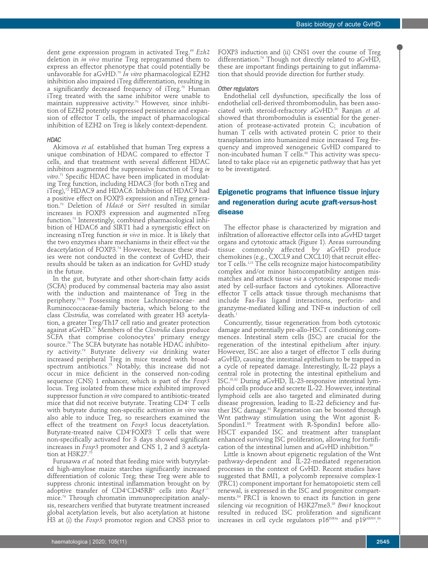dent gene expression program in activated Treg.<sup>69</sup> *Ezh*2 deletion in *in vivo* murine Treg reprogrammed them to express an effector phenotype that could potentially be unfavorable for aGvHD.70 *In vitro* pharmacological EZH2 inhibition also impaired iTreg differentiation, resulting in a significantly decreased frequency of iTreg.<sup>70</sup> Human iTreg treated with the same inhibitor were unable to maintain suppressive activity.<sup>70</sup> However, since inhibition of EZH2 potently suppressed persistence and expansion of effector T cells, the impact of pharmacological inhibition of EZH2 on Treg is likely context-dependent.

#### *HDAC*

Akimova *et al.* established that human Treg express a unique combination of HDAC compared to effector T cells, and that treatment with several different HDAC inhibitors augmented the suppressive function of Treg *in vitro*. <sup>71</sup> Specific HDAC have been implicated in modulating Treg function, including HDAC3 (for both nTreg and  $i$ Treg), $72$  HDAC9 and HDAC6. Inhibition of HDAC9 had a positive effect on FOXP3 expression and nTreg generation.73 Deletion of *Hdac6* or *Sirt1* resulted in similar increases in FOXP3 expression and augmented nTreg function.74 Interestingly, combined pharmacological inhibition of HDAC6 and SIRT1 had a synergistic effect on increasing nTreg function *in vivo* in mice. It is likely that the two enzymes share mechanisms in their effect *via* the deacetylation of FOXP3.<sup>74</sup> However, because these studies were not conducted in the context of GvHD, their results should be taken as an indication for GvHD study in the future.

In the gut, butyrate and other short-chain fatty acids (SCFA) produced by commensal bacteria may also assist with the induction and maintenance of Treg in the periphery.75,76 Possessing more Lachnospiraceae- and Ruminococcaceae-family bacteria, which belong to the class *Clostridia*, was correlated with greater H3 acetylation, a greater Treg/Th17 cell ratio and greater protection against aGvHD.77 Members of the *Clostridia* class produce SCFA that comprise colonocytes' primary energy source.78 The SCFA butyrate has notable HDAC inhibitory activity.79 Butyrate delivery *via* drinking water increased peripheral Treg in mice treated with broadspectrum antibiotics.75 Notably, this increase did not occur in mice deficient in the conserved non-coding sequence (CNS) 1 enhancer, which is part of the *Foxp3* locus. Treg isolated from these mice exhibited improved suppressor function *in vitro* compared to antibiotic-treated mice that did not receive butyrate. Treating CD4+ T cells with butyrate during non-specific activation *in vitro* was also able to induce Treg, so researchers examined the effect of the treatment on *Foxp3* locus deacetylation. Butyrate-treated naïve CD4+ FOXP3- T cells that were non-specifically activated for 3 days showed significant increases in *Foxp3* promoter and CNS 1, 2 and 3 acetylation at H3K27.75

Furusawa *et al.* noted that feeding mice with butyrylated high-amylose maize starches significantly increased differentiation of colonic Treg; these Treg were able to suppress chronic intestinal inflammation brought on by adoptive transfer of CD4+ CD45RBhi cells into *Rag1−/−* mice.76 Through chromatin immunoprecipitation analysis, researchers verified that butyrate treatment increased global acetylation levels, but also acetylation at histone H3 at (i) the *Foxp3* promotor region and CNS3 prior to

FOXP3 induction and (ii) CNS1 over the course of Treg differentiation.<sup>76</sup> Though not directly related to aGvHD, these are important findings pertaining to gut inflammation that should provide direction for further study.

#### *Other regulators*

Endothelial cell dysfunction, specifically the loss of endothelial cell-derived thrombomodulin, has been associated with steroid-refractory aGvHD.80 Ranjan *et al.* showed that thrombomodulin is essential for the generation of protease-activated protein C; incubation of human T cells with activated protein C prior to their transplantation into humanized mice increased Treg frequency and improved xenogeneic GvHD compared to non-incubated human  $T$  cells.<sup>80</sup> This activity was speculated to take place *via* an epigenetic pathway that has yet to be investigated.

# **Epigenetic programs that influence tissue injury and regeneration during acute graft-***versus***-host disease**

The effector phase is characterized by migration and infiltration of alloreactive effector cells into aGvHD target organs and cytotoxic attack (Figure 1). Areas surrounding tissue commonly affected by aGvHD produce chemokines (e.g., CXCL9 and CXCL10) that recruit effector T cells.<sup>1,11</sup> The cells recognize major histocompatibility complex and/or minor histocompatibility antigen mismatches and attack tissue *via* a cytotoxic response mediated by cell-surface factors and cytokines. Alloreactive effector T cells attack tissue through mechanisms that include Fas-Fas ligand interactions, perforin- and granzyme-mediated killing and TNF- $\alpha$  induction of cell death.<sup>1</sup>

Concurrently, tissue regeneration from both cytotoxic damage and potentially pre-allo-HSCT conditioning commences. Intestinal stem cells (ISC) are crucial for the regeneration of the intestinal epithelium after injury. However, ISC are also a target of effector T cells during aGvHD, causing the intestinal epithelium to be trapped in a cycle of repeated damage. Interestingly, IL-22 plays a central role in protecting the intestinal epithelium and ISC.81,82 During aGvHD, IL-23-responsive intestinal lymphoid cells produce and secrete IL-22. However, intestinal lymphoid cells are also targeted and eliminated during disease progression, leading to IL-22 deficiency and further ISC damage.<sup>81</sup> Regeneration can be boosted through Wnt pathway stimulation using the Wnt agonist R-Spondin1.83 Treatment with R-Spondin1 before allo-HSCT expanded ISC and treatment after transplant enhanced surviving ISC proliferation, allowing for fortification of the intestinal lumen and aGvHD inhibition.<sup>83</sup>

Little is known about epigenetic regulation of the Wnt pathway-dependent and IL-22-mediated regeneration processes in the context of GvHD. Recent studies have suggested that BMI1, a polycomb repressive complex-1 (PRC1) component important for hematopoietic stem cell renewal, is expressed in the ISC and progenitor compartments.<sup>84</sup> PRC1 is known to enact its function in gene silencing *via* recognition of H3K27me3.<sup>85</sup> *Bmi1* knockout resulted in reduced ISC proliferation and significant increases in cell cycle regulators  $p16^{\text{INK4a}}$  and  $p19^{\text{ARK84}}$ .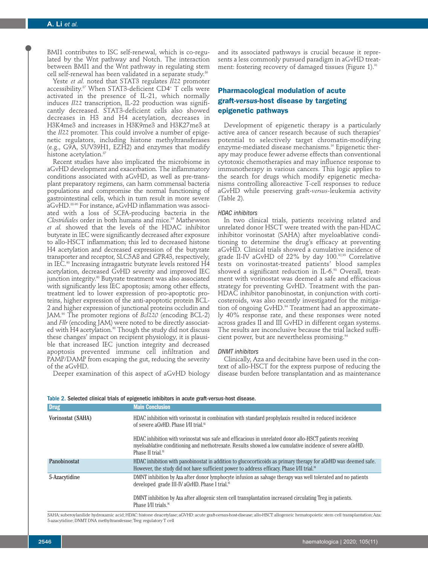BMI1 contributes to ISC self-renewal, which is co-regulated by the Wnt pathway and Notch. The interaction between BMI1 and the Wnt pathway in regulating stem cell self-renewal has been validated in a separate study.<sup>86</sup>

Yeste *et al.* noted that STAT3 regulates *Il22* promoter accessibility.87 When STAT3-deficient CD4+ T cells were activated in the presence of IL-21, which normally induces *Il22* transcription, IL-22 production was significantly decreased. STAT3-deficient cells also showed decreases in H3 and H4 acetylation, decreases in H3K4me3 and increases in H3K9me3 and H3K27me3 at the *Il22* promoter. This could involve a number of epigenetic regulators, including histone methyltransferases (e.g., G9A, SUV39H1, EZH2) and enzymes that modify histone acetylation.<sup>87</sup>

Recent studies have also implicated the microbiome in aGvHD development and exacerbation. The inflammatory conditions associated with aGvHD, as well as pre-transplant preparatory regimens, can harm commensal bacteria populations and compromise the normal functioning of gastrointestinal cells, which in turn result in more severe aGvHD.88-90 For instance, aGvHD inflammation was associated with a loss of SCFA-producing bacteria in the *Clostridiales* order in both humans and mice.<sup>89</sup> Mathewson *et al.* showed that the levels of the HDAC inhibitor butyrate in IEC were significantly decreased after exposure to allo-HSCT inflammation; this led to decreased histone H4 acetylation and decreased expression of the butyrate transporter and receptor, SLC5A8 and GPR43, respectively, in IEC.90 Increasing intragastric butyrate levels restored H4 acetylation, decreased GvHD severity and improved IEC junction integrity.<sup>90</sup> Butyrate treatment was also associated with significantly less IEC apoptosis; among other effects, treatment led to lower expression of pro-apoptotic proteins, higher expression of the anti-apoptotic protein BCL-2 and higher expression of junctional proteins occludin and JAM.90 The promoter regions of *Bcl220* (encoding BCL-2) and *Fllr* (encoding JAM) were noted to be directly associated with H4 acetylation.<sup>90</sup> Though the study did not discuss these changes' impact on recipient physiology, it is plausible that increased IEC junction integrity and decreased apoptosis prevented immune cell infiltration and PAMP/DAMP from escaping the gut, reducing the severity of the aGvHD. Deeper examination of this aspect of aGvHD biology

and its associated pathways is crucial because it represents a less commonly pursued paradigm in aGvHD treatment: fostering recovery of damaged tissues (Figure 1).<sup>91</sup>

# **Pharmacological modulation of acute graft-***versus***-host disease by targeting epigenetic pathways**

Development of epigenetic therapy is a particularly active area of cancer research because of such therapies' potential to selectively target chromatin-modifying enzyme-mediated disease mechanisms.<sup>16</sup> Epigenetic therapy may produce fewer adverse effects than conventional cytotoxic chemotherapies and may influence response to immunotherapy in various cancers. This logic applies to the search for drugs which modify epigenetic mechanisms controlling alloreactive T-cell responses to reduce aGvHD while preserving graft-*versus-*leukemia activity (Table 2).

#### *HDAC inhibitors*

In two clinical trials, patients receiving related and unrelated donor HSCT were treated with the pan-HDAC inhibitor vorinostat (SAHA) after myeloablative conditioning to determine the drug's efficacy at preventing aGvHD. Clinical trials showed a cumulative incidence of grade II-IV aGvHD of 22% by day 100.92,93 Correlative tests on vorinostat-treated patients' blood samples showed a significant reduction in IL-6.93 Overall, treatment with vorinostat was deemed a safe and efficacious strategy for preventing GvHD. Treatment with the pan-HDAC inhibitor panobinostat, in conjunction with corticosteroids, was also recently investigated for the mitigation of ongoing GvHD.<sup>94</sup> Treatment had an approximately 40% response rate, and these responses were noted across grades II and III GvHD in different organ systems. The results are inconclusive because the trial lacked sufficient power, but are nevertheless promising.<sup>94</sup>

#### *DNMT inhibitors*

Clinically, Aza and decitabine have been used in the context of allo-HSCT for the express purpose of reducing the disease burden before transplantation and as maintenance

| <b>Drug</b>       | <b>Main Conclusion</b>                                                                                                                                                                                                                               |
|-------------------|------------------------------------------------------------------------------------------------------------------------------------------------------------------------------------------------------------------------------------------------------|
| Vorinostat (SAHA) | HDAC inhibition with vorinostat in combination with standard prophylaxis resulted in reduced incidence<br>of severe a GyHD. Phase I/II trial. <sup>92</sup>                                                                                          |
|                   | HDAC inhibition with vorinostat was safe and efficacious in unrelated donor allo-HSCT patients receiving<br>myeloablative conditioning and methotrexate. Results showed a low cumulative incidence of severe aGvHD.<br>Phase II trial. <sup>93</sup> |
| Panobinostat      | HDAC inhibition with panobinostat in addition to glucocorticoids as primary therapy for aGvHD was deemed safe.<br>However, the study did not have sufficient power to address efficacy. Phase I/II trial. <sup>94</sup>                              |
| 5-Azacytidine     | DMNT inhibition by Aza after donor lymphocyte infusion as salvage therapy was well tolerated and no patients<br>developed grade III-IV aGvHD. Phase I trial. <sup>55</sup>                                                                           |
|                   | DMNT inhibition by Aza after allogenic stem cell transplantation increased circulating Treg in patients.<br>Phase I/II trials. <sup>96</sup>                                                                                                         |

Table 2. Selected clinical trials of epigenetic inhibitors in acute graft-*versus*-host disease.

SAHA: suberoylanilide hydroxamic acid; HDAC: histone deacetylase; aGVHD: acute graft-*versus*-host-disease; allo-HSCT: allogeneic hematopoietic stem cell transplantation; Aza: 5-azacytidine; DNMT: DNA methyltransferase; Treg: regulatory T cell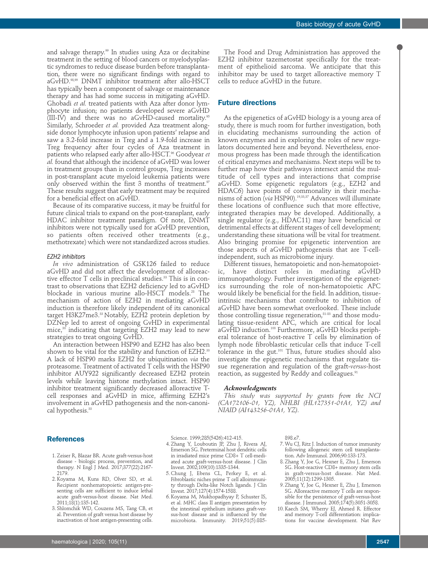and salvage therapy.<sup>99</sup> In studies using Aza or decitabine treatment in the setting of blood cancers or myelodysplastic syndromes to reduce disease burden before transplantation, there were no significant findings with regard to aGvHD.98,99 DNMT inhibitor treatment after allo-HSCT has typically been a component of salvage or maintenance therapy and has had some success in mitigating aGvHD. Ghobadi *et al.* treated patients with Aza after donor lymphocyte infusion; no patients developed severe aGvHD (III-IV) and there was no aGvHD-caused mortality.95 Similarly, Schroeder *et al.* provided Aza treatment alongside donor lymphocyte infusion upon patients' relapse and saw a 3.2-fold increase in Treg and a 1.9-fold increase in Treg frequency after four cycles of Aza treatment in patients who relapsed early after allo-HSCT.<sup>96</sup> Goodyear et *al.* found that although the incidence of aGvHD was lower in treatment groups than in control groups, Treg increases in post-transplant acute myeloid leukemia patients were only observed within the first 3 months of treatment.<sup>97</sup> These results suggest that early treatment may be required for a beneficial effect on aGvHD.

Because of its comparative success, it may be fruitful for future clinical trials to expand on the post-transplant, early HDAC inhibitor treatment paradigm. Of note, DNMT inhibitors were not typically used for aGvHD prevention, so patients often received other treatments (e.g., methotrexate) which were not standardized across studies.

### *EZH2 inhibitors*

*In vivo* administration of GSK126 failed to reduce aGvHD and did not affect the development of alloreactive effector  $T$  cells in preclinical studies.<sup>33</sup> This is in contrast to observations that EZH2 deficiency led to aGvHD blockade in various murine allo-HSCT models.<sup>28</sup> The mechanism of action of EZH2 in mediating aGvHD induction is therefore likely independent of its canonical target H3K27me3.<sup>33</sup> Notably, EZH2 protein depletion by DZNep led to arrest of ongoing GvHD in experimental  $mice$ <sup>30</sup> indicating that targeting EZH2 may lead to new strategies to treat ongoing GvHD.

An interaction between HSP90 and EZH2 has also been shown to be vital for the stability and function of EZH2.<sup>33</sup> A lack of HSP90 marks EZH2 for ubiquitination *via* the proteasome. Treatment of activated T cells with the HSP90 inhibitor AUY922 significantly decreased EZH2 protein levels while leaving histone methylation intact. HSP90 inhibitor treatment significantly decreased alloreactive Tcell responses and aGvHD in mice, affirming EZH2's involvement in aGvHD pathogenesis and the non-canonical hypothesis.<sup>33</sup>

The Food and Drug Administration has approved the EZH2 inhibitor tazemetostat specifically for the treatment of epithelioid sarcoma. We anticipate that this inhibitor may be used to target alloreactive memory T cells to reduce aGvHD in the future.

# **Future directions**

As the epigenetics of aGvHD biology is a young area of study, there is much room for further investigation, both in elucidating mechanisms surrounding the action of known enzymes and in exploring the roles of new regulators documented here and beyond. Nevertheless, enormous progress has been made through the identification of critical enzymes and mechanisms. Next steps will be to further map how their pathways intersect amid the multitude of cell types and interactions that comprise aGvHD. Some epigenetic regulators (e.g., EZH2 and HDAC6) have points of commonality in their mechanisms of action (*via* HSP90).19,33,37 Advances will illuminate these locations of confluence such that more effective, integrated therapies may be developed. Additionally, a single regulator (e.g., HDAC11) may have beneficial or detrimental effects at different stages of cell development; understanding these situations will be vital for treatment. Also bringing promise for epigenetic intervention are those aspects of aGvHD pathogenesis that are T-cellindependent, such as microbiome injury.

Different tissues, hematopoietic and non-hematopoietic, have distinct roles in mediating aGvHD immunopathology. Further investigation of the epigenetics surrounding the role of non-hematopoietic APC would likely be beneficial for the field. In addition, tissueintrinsic mechanisms that contribute to inhibition of aGvHD have been somewhat overlooked. These include those controlling tissue regeneration, 81-83 and those modulating tissue-resident APC, which are critical for local aGvHD induction.<sup>100</sup> Furthermore, aGvHD blocks peripheral tolerance of host-reactive T cells by elimination of lymph node fibroblastic reticular cells that induce T-cell tolerance in the gut. $101$  Thus, future studies should also investigate the epigenetic mechanisms that regulate tissue regeneration and regulation of the graft-*versus*-host reaction, as suggested by Reddy and colleagues.<sup>91</sup>

#### *Acknowledgments*

*This study was supported by grants from the NCI (CA172106-01, YZ), NHLBI (HL127351-01A1, YZ) and NIAID (AI143256-01A1, YZ).* 

#### **References**

- 1. Zeiser R, Blazar BR. Acute graft-versus-host disease - biologic process, prevention, and therapy. N Engl J Med. 2017;377(22):2167- 2179.
- 2. Koyama M, Kuns RD, Olver SD, et al. Recipient nonhematopoietic antigen-presenting cells are sufficient to induce lethal acute graft-versus-host disease. Nat Med. 2011;18(1):135-142.
- 3. Shlomchik WD, Couzens MS, Tang CB, et al. Prevention of graft versus host disease by inactivation of host antigen-presenting cells.

Science. 1999;285(5426):412-415.

- 4. Zhang Y, Louboutin JP, Zhu J, Rivera AJ, Emerson SG. Preterminal host dendritic cells in irradiated mice prime CD8+ T cell-mediated acute graft-versus-host disease. J Clin Invest. 2002;109(10):1335-1344.
- 5. Chung J, Ebens CL, Perkey E, et al. Fibroblastic niches prime T cell alloimmunity through Delta-like Notch ligands. J Clin Invest. 2017;127(4):1574-1588.
- 6. Koyama M, Mukhopadhyay P, Schuster IS, et al. MHC class II antigen presentation by the intestinal epithelium initiates graft-versus-host disease and is influenced by the microbiota. Immunity. 2019;51(5):885-

898.e7.

- 7. Wu CJ, Ritz J. Induction of tumor immunity following allogeneic stem cell transplantation. Adv Immunol. 2006;90:133-173.
- 8. Zhang Y, Joe G, Hexner E, Zhu J, Emerson SG. Host-reactive CD8+ memory stem cells in graft-versus-host disease. Nat Med. 2005;11(12):1299-1305.
- 9. Zhang Y, Joe G, Hexner E, Zhu J, Emerson SG. Alloreactive memory T cells are responsible for the persistence of graft-versus-host disease. J Immunol. 2005;174(5):3051-3058.
- 10. Kaech SM, Wherry EJ, Ahmed R. Effector and memory T-cell differentiation: implications for vaccine development. Nat Rev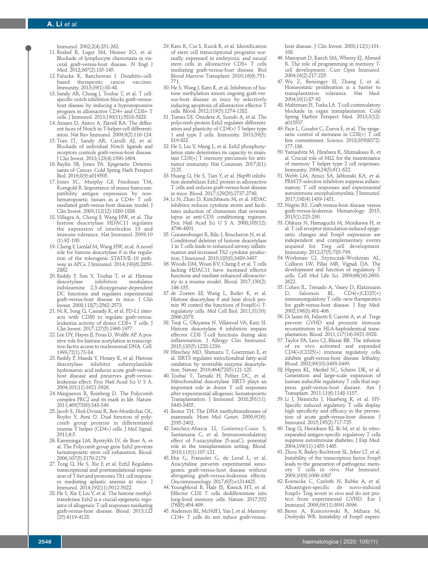Immunol. 2002;2(4):251-262.

- 11. Reshef R, Luger SM, Hexner EO, et al. Blockade of lymphocyte chemotaxis in visceral graft-versus-host disease. N Engl J Med. 2012;367(2):135-145.
- 12. Palucka K, Banchereau J. Dendritic-cellbased therapeutic cancer Immunity. 2013;39(1):38-48.
- 13. Sandy AR, Chung J, Toubai T, et al. T cellspecific notch inhibition blocks graft-versushost disease by inducing a hyporesponsive program in alloreactive CD4+ and CD8+ T cells. J Immunol. 2013;190(11):5818-5828.
- 14. Amsen D, Antov A, Flavell RA. The different faces of Notch in T-helper-cell differentiation. Nat Rev Immunol. 2009;9(2):116-124.
- 15. Tran IT, Sandy AR, Carulli AJ, et al. Blockade of individual Notch ligands and receptors controls graft-versus-host disease. J Clin Invest. 2013;123(4):1590-1604.
- 16. Baylin SB, Jones PA. Epigenetic Determi nants of Cancer. Cold Spring Harb Perspect Biol. 2016;8(9):a019505.
- 17. Jones SC, Murphy GF, Friedman TM, Korngold R. Importance of minor histocompatibility antigen expression by nonhematopoietic tissues in a CD4+ T cellmediated graft-versus-host disease model. J Clin Invest. 2003;112(12):1880-1886.
- 18. Villagra A, Cheng F, Wang HW, et al. The histone deacetylase HDAC11 regulates the expression of interleukin 10 and immune tolerance. Nat Immunol. 2009;10 (1):92-100.
- 19. Cheng F, Lienlaf M, Wang HW, et al. A novel role for histone deacetylase 6 in the regulation of the tolerogenic STAT3/IL-10 pathway in APCs. J Immunol. 2014;193(6):2850- 2862.
- 20. Reddy P, Sun Y, Toubai T, et al. Histone deacetylase indoleamine 2,3-dioxygenase-dependent DC functions and regulates experimental graft-versus-host disease in mice. J Clin Invest. 2008;118(7):2562-2573.
- 21. Ni X, Song Q, Cassady K, et al. PD-L1 interacts with CD80 to regulate graft-versusleukemia activity of donor CD8+ T cells. J Clin Invest. 2017;127(5):1960-1977.
- 22. Lee DY, Hayes JJ, Pruss D, Wolffe AP. A positive role for histone acetylation in transcription factor access to nucleosomal DNA. Cell. 1993;72(1):73-84.
- 23. Reddy P, Maeda Y, Hotary K, et al. Histone deacetylase inhibitor suberoylanilide hydroxamic acid reduces acute graft-versushost disease and preserves graft-versusleukemia effect. Proc Natl Acad Sci U S A. 2004;101(11):3921-3926.
- 24. Margueron R, Reinberg D. The Polycomb complex PRC2 and its mark in life. Nature. 2011;469(7330):343-349.
- 25. Jacob E, Hod-Dvorai R, Ben-Mordechai OL, Boyko Y, Avni O. Dual function of polycomb group proteins in differentiated murine T helper (CD4+) cells. J Mol Signal. 2011;6:5.
- 26. Kamminga LM, Bystrykh LV, de Boer A, et al. The Polycomb group gene Ezh2 prevents hematopoietic stem cell exhaustion. Blood. 2006;107(5):2170-2179.
- 27. Tong Q, He S, Xie F, et al. Ezh2 Regulates transcriptional and posttranslational expression of T-bet and promotes Th1 cell responses mediating aplastic anemia in mice. J Immunol. 2014;192(11):5012-5022.
- 28. He S, Xie F, Liu Y, et al. The histone methyltransferase Ezh2 is a crucial epigenetic regulator of allogeneic T cell responses mediating graft-versus-host disease. Blood. 2013;122 (25):4119-4128.
- 29. Kato K, Cui S, Kuick R, et al. Identification of stem cell transcriptional programs normally expressed in embryonic and neural stem cells in alloreactive CD8+ T cells mediating graft-versus-host disease. Biol Blood Marrow Transplant. 2010;16(6):751- 771.
- 30. He S, Wang J, Kato K, et al. Inhibition of histone methylation arrests ongoing graft-versus-host disease in mice by selectively inducing apoptosis of alloreactive effector T cells. Blood. 2012;119(5):1274-1282.
- 31. Tumes DJ, Onodera A, Suzuki A, et al. The polycomb protein Ezh2 regulates differentiation and plasticity of  $CD\tilde{4}(+)$  T helper type 1 and type 2 cells. Immunity. 2013;39(5): 819-832.
- 32. He S, Liu Y, Meng L, et al. Ezh2 phosphorylation state determines its capacity to maintain CD8(+) T memory precursors for antitumor immunity. Nat Commun. 2017;8(1): 2125.
- 33. Huang Q, He S, Tian Y, et al. Hsp90 inhibition destabilizes Ezh2 protein in alloreactive T cells and reduces graft-versus-host disease in mice. Blood. 2017;129(20):2737-2748.
- 34. Li N, Zhao D, Kirschbaum M, et al. HDAC inhibitor reduces cytokine storm and facilitates induction of chimerism that reverses lupus in anti-CD3 conditioning regimen. Proc Natl Acad Sci U S A. 2008;105(12): 4796-4801.
- 35. Grausenburger R, Bilic I, Boucheron N, et al. Conditional deletion of histone deacetylase 1 in T cells leads to enhanced airway inflammation and increased Th2 cytokine production. J Immunol. 2010;185(6):3489-3497.
- 36. Woods DM, Woan KV, Cheng F, et al. T cells lacking HDAC11 have increased effector functions and mediate enhanced alloreactivity in a murine model. Blood. 2017;130(2): 146-155.
- 37. de Zoeten EF, Wang L, Butler K, et al. Histone deacetylase 6 and heat shock protein 90 control the functions of Foxp3 $(\dot{+})$  Tregulatory cells. Mol Cell Biol. 2011;31(10): 2066-2078.
- 38. Tsuji G, Okiyama N, Villarroel VA, Katz SI. Histone deacetylase 6 inhibition impairs effector CD8 T-cell functions during skin inflammation. J Allergy Clin Immunol. 2015;135(5):1228-1239.
- 39. Hirschey MD, Shimazu T, Goetzman E, et al. SIRT3 regulates mitochondrial fatty-acid oxidation by reversible enzyme deacetylation. Nature. 2010;464(7285):121-125.
- 40. Toubai T, Tamaki H, Peltier DC, et al. Mitochondrial deacetylase SIRT3 plays an important role in donor T cell responses after experimental allogeneic hematopoietic Transplantation. J Immunol. 2018;201(11): 3443-3455.
- 41. Bestor TH. The DNA methyltransferases of mammals. Hum Mol Genet. 2000;9(16): 2395-2402.
- 42. Sanchez-Abarca LI, Gutierrez-Cosio S, Santamaria C, et al. Immunomodulatory effect of 5-azacytidine (5-azaC): potential role in the transplantation setting. Blood. 2010;115(1):107-121.
- 43. Ehx G, Fransolet G, de Leval L, et al. Azacytidine prevents experimental xenogeneic graft-versus-host disease without abrogating graft-versus-leukemia effects. Oncoimmunology. 2017;6(5):e1314425.
- 44. Youngblood B, Hale JS, Kissick HT, et al. Effector CD8 T cells dedifferentiate into long-lived memory cells. Nature. 2017;552 (7685):404-409.
- 45. Anderson BE, McNiff J, Yan J, et al. Memory CD4+ T cells do not induce graft-versus-

host disease. J Clin Invest. 2003;112(1):101- 108.

- 46. Masopust D, Kaech SM, Wherry EJ, Ahmed R. The role of programming in memory Tcell development. Curr Opin Immunol. 2004;16(2):217-225.
- 47. Wu Z, Bensinger SJ, Zhang J, et al. Homeostatic proliferation is a barrier to transplantation tolerance. Nat Med. 2004;10(1):87-92.
- 48. Maltzman JS, Turka LA. T-cell costimulatory blockade in organ transplantation. Cold Spring Harbor Perspect Med. 2013;3(12):  $a\dot{0}15537$ .
- 49. Pace L, Goudot C, Zueva E, et al. The epigenetic control of stemness in CD8(+) T cell fate commitment. Science. 2018;359(6372): 177-186.
- 50. Yamashita M, Hirahara K, Shinnakasu R, et al. Crucial role of MLL for the maintenance of memory T helper type 2 cell responses. Immunity. 2006;24(5):611-622.
- 51. Webb LM, Amici SA, Jablonski KA, et al. PRMT5-selective inhibitors suppress inflammatory T cell responses and experimental autoimmune encephalomyelitis. J Immunol. 2017;198(4):1439-1451.
- 52. Negrin RS. Graft-versus-host disease versus graft-versus-leukemia. Hematology. 2015; 2015(1):225-230.
- 53. Ohkura N, Hamaguchi M, Morikawa H, et al. T cell receptor stimulation-induced epigenetic changes and Foxp3 expression are independent and complementary events required for Treg cell development. Immunity. 2012;37(5):785-799.
- 54. Workman CJ, Szymczak-Workman AL, Collison LW, Pillai MR, Vignali DA. The development and function of regulatory T cells. Cell Mol Life Sci. 2009;66(16):2603- 2622.
- 55. Cohen JL, Trenado A, Vasey D, Klatzmann<br>D, Salomon BL. CD4(+)CD25(+)  $\text{CD4}(+) \text{CD25}(+)$ immunoregulatory T cells: new therapeutics for graft-versus-host disease. J Exp Med. 2002;196(3):401-406.
- 56. Di Ianni M, Falzetti F, Carotti A, et al. Tregs prevent GVHD and promote immune reconstitution in HLA-haploidentical transplantation. Blood. 2011;117(14):3921-3928.
- 57. Taylor PA, Lees CJ, Blazar BR. The infusion of ex vivo activated and expanded CD4(+)CD25(+) immune regulatory cells inhibits graft-versus-host disease lethality. Blood. 2002;99(10):3493-3499.
- 58. Hippen KL, Merkel SC, Schirm DK, et al. Generation and large-scale expansion of human inducible regulatory T cells that suppress graft-versus-host disease. Am J Transplant. 2011;11(6):1148-1157.
- 59. Li J, Heinrichs J, Haarberg K, et al. HY-Specific induced regulatory T cells display high specificity and efficacy in the prevention of acute graft-versus-host disease. J Immunol. 2015;195(2):717-725.
- 60. Tang Q, Henriksen KJ, Bi M, et al. In vitroexpanded antigen-specific regulatory T cells suppress autoimmune diabetes. J Exp Med. 2004;199(11):1455-1465.
- 61. Zhou X, Bailey-Bucktrout SL, Jeker LT, et al. Instability of the transcription factor Foxp3 leads to the generation of pathogenic memory T cells in vivo. Nat Immunol. 2009;10(9):1000-1007.
- 62. Koenecke C, Czeloth N, Bubke A, et al. Alloantigen-specific de novo-induced Foxp3+ Treg revert in vivo and do not protect from experimental GVHD. Eur J Immunol. 2009;39(11):3091-3096.
- 63. Beres A, Komorowski R, Mihara M, Drobyski WR. Instability of Foxp3 expres-